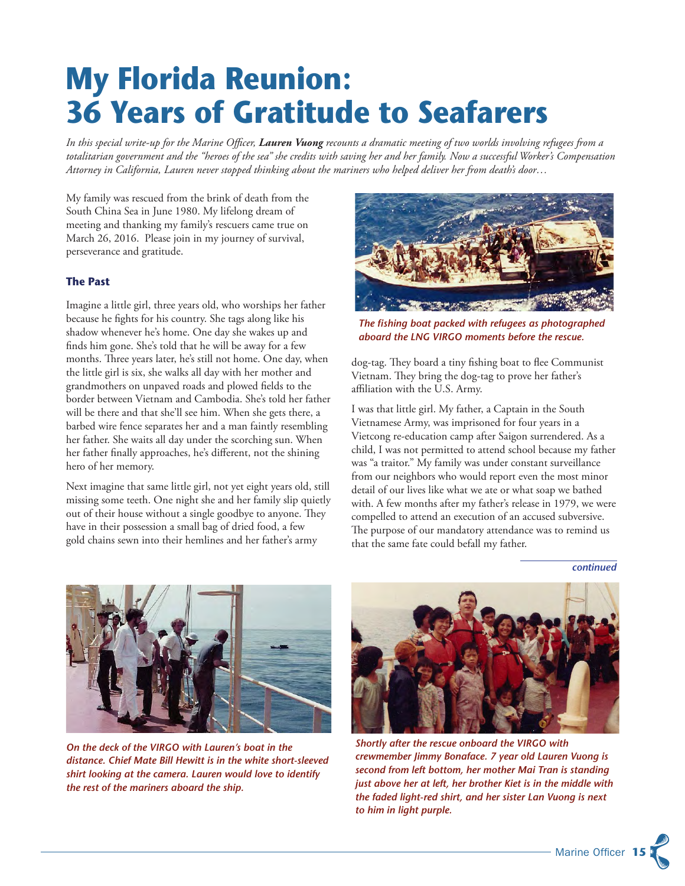# **My Florida Reunion: 36 Years of Gratitude to Seafarers**

*In this special write-up for the Marine Officer, Lauren Vuong recounts a dramatic meeting of two worlds involving refugees from a totalitarian government and the "heroes of the sea" she credits with saving her and her family. Now a successful Worker's Compensation Attorney in California, Lauren never stopped thinking about the mariners who helped deliver her from death's door…*

My family was rescued from the brink of death from the South China Sea in June 1980. My lifelong dream of meeting and thanking my family's rescuers came true on March 26, 2016. Please join in my journey of survival, perseverance and gratitude.

#### **The Past**

Imagine a little girl, three years old, who worships her father because he fights for his country. She tags along like his shadow whenever he's home. One day she wakes up and finds him gone. She's told that he will be away for a few months. Three years later, he's still not home. One day, when the little girl is six, she walks all day with her mother and grandmothers on unpaved roads and plowed fields to the border between Vietnam and Cambodia. She's told her father will be there and that she'll see him. When she gets there, a barbed wire fence separates her and a man faintly resembling her father. She waits all day under the scorching sun. When her father finally approaches, he's different, not the shining hero of her memory.

Next imagine that same little girl, not yet eight years old, still missing some teeth. One night she and her family slip quietly out of their house without a single goodbye to anyone. They have in their possession a small bag of dried food, a few gold chains sewn into their hemlines and her father's army



*The fishing boat packed with refugees as photographed aboard the LNG VIRGO moments before the rescue.*

dog-tag. They board a tiny fishing boat to flee Communist Vietnam. They bring the dog-tag to prove her father's affiliation with the U.S. Army.

I was that little girl. My father, a Captain in the South Vietnamese Army, was imprisoned for four years in a Vietcong re-education camp after Saigon surrendered. As a child, I was not permitted to attend school because my father was "a traitor." My family was under constant surveillance from our neighbors who would report even the most minor detail of our lives like what we ate or what soap we bathed with. A few months after my father's release in 1979, we were compelled to attend an execution of an accused subversive. The purpose of our mandatory attendance was to remind us that the same fate could befall my father.

*continued*



*On the deck of the VIRGO with Lauren's boat in the distance. Chief Mate Bill Hewitt is in the white short-sleeved shirt looking at the camera. Lauren would love to identify the rest of the mariners aboard the ship.*



*Shortly after the rescue onboard the VIRGO with crewmember Jimmy Bonaface. 7 year old Lauren Vuong is second from left bottom, her mother Mai Tran is standing just above her at left, her brother Kiet is in the middle with the faded light-red shirt, and her sister Lan Vuong is next to him in light purple.*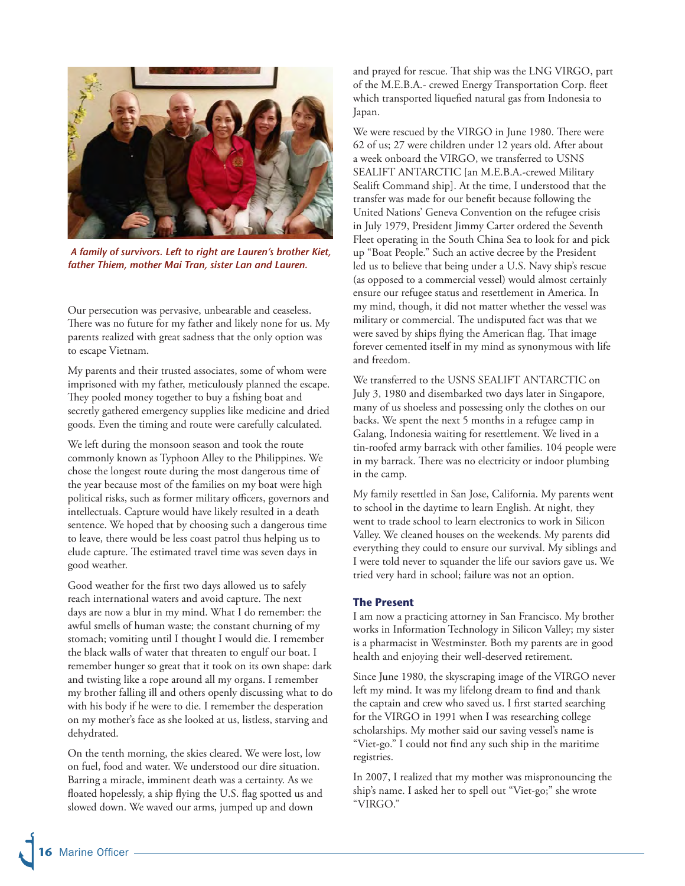

 *A family of survivors. Left to right are Lauren's brother Kiet, father Thiem, mother Mai Tran, sister Lan and Lauren.*

Our persecution was pervasive, unbearable and ceaseless. There was no future for my father and likely none for us. My parents realized with great sadness that the only option was to escape Vietnam.

My parents and their trusted associates, some of whom were imprisoned with my father, meticulously planned the escape. They pooled money together to buy a fishing boat and secretly gathered emergency supplies like medicine and dried goods. Even the timing and route were carefully calculated.

We left during the monsoon season and took the route commonly known as Typhoon Alley to the Philippines. We chose the longest route during the most dangerous time of the year because most of the families on my boat were high political risks, such as former military officers, governors and intellectuals. Capture would have likely resulted in a death sentence. We hoped that by choosing such a dangerous time to leave, there would be less coast patrol thus helping us to elude capture. The estimated travel time was seven days in good weather.

Good weather for the first two days allowed us to safely reach international waters and avoid capture. The next days are now a blur in my mind. What I do remember: the awful smells of human waste; the constant churning of my stomach; vomiting until I thought I would die. I remember the black walls of water that threaten to engulf our boat. I remember hunger so great that it took on its own shape: dark and twisting like a rope around all my organs. I remember my brother falling ill and others openly discussing what to do with his body if he were to die. I remember the desperation on my mother's face as she looked at us, listless, starving and dehydrated.

On the tenth morning, the skies cleared. We were lost, low on fuel, food and water. We understood our dire situation. Barring a miracle, imminent death was a certainty. As we floated hopelessly, a ship flying the U.S. flag spotted us and slowed down. We waved our arms, jumped up and down

and prayed for rescue. That ship was the LNG VIRGO, part of the M.E.B.A.- crewed Energy Transportation Corp. fleet which transported liquefied natural gas from Indonesia to Japan.

We were rescued by the VIRGO in June 1980. There were 62 of us; 27 were children under 12 years old. After about a week onboard the VIRGO, we transferred to USNS SEALIFT ANTARCTIC [an M.E.B.A.-crewed Military Sealift Command ship]. At the time, I understood that the transfer was made for our benefit because following the United Nations' Geneva Convention on the refugee crisis in July 1979, President Jimmy Carter ordered the Seventh Fleet operating in the South China Sea to look for and pick up "Boat People." Such an active decree by the President led us to believe that being under a U.S. Navy ship's rescue (as opposed to a commercial vessel) would almost certainly ensure our refugee status and resettlement in America. In my mind, though, it did not matter whether the vessel was military or commercial. The undisputed fact was that we were saved by ships flying the American flag. That image forever cemented itself in my mind as synonymous with life and freedom.

We transferred to the USNS SEALIFT ANTARCTIC on July 3, 1980 and disembarked two days later in Singapore, many of us shoeless and possessing only the clothes on our backs. We spent the next 5 months in a refugee camp in Galang, Indonesia waiting for resettlement. We lived in a tin-roofed army barrack with other families. 104 people were in my barrack. There was no electricity or indoor plumbing in the camp.

My family resettled in San Jose, California. My parents went to school in the daytime to learn English. At night, they went to trade school to learn electronics to work in Silicon Valley. We cleaned houses on the weekends. My parents did everything they could to ensure our survival. My siblings and I were told never to squander the life our saviors gave us. We tried very hard in school; failure was not an option.

#### **The Present**

I am now a practicing attorney in San Francisco. My brother works in Information Technology in Silicon Valley; my sister is a pharmacist in Westminster. Both my parents are in good health and enjoying their well-deserved retirement.

Since June 1980, the skyscraping image of the VIRGO never left my mind. It was my lifelong dream to find and thank the captain and crew who saved us. I first started searching for the VIRGO in 1991 when I was researching college scholarships. My mother said our saving vessel's name is "Viet-go." I could not find any such ship in the maritime registries.

In 2007, I realized that my mother was mispronouncing the ship's name. I asked her to spell out "Viet-go;" she wrote "VIRGO."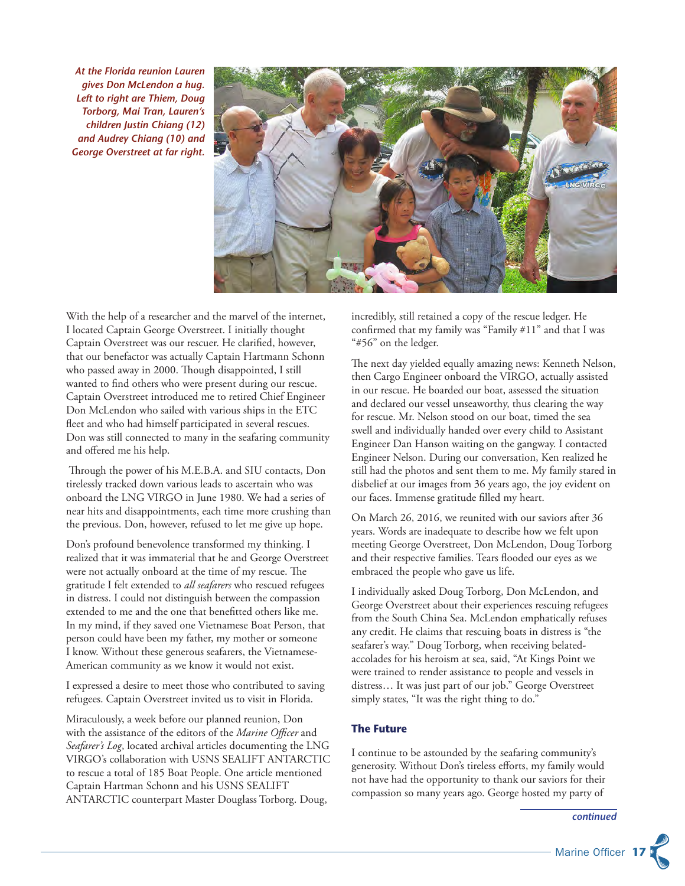*At the Florida reunion Lauren gives Don McLendon a hug. Left to right are Thiem, Doug Torborg, Mai Tran, Lauren's children Justin Chiang (12) and Audrey Chiang (10) and George Overstreet at far right.*



With the help of a researcher and the marvel of the internet, I located Captain George Overstreet. I initially thought Captain Overstreet was our rescuer. He clarified, however, that our benefactor was actually Captain Hartmann Schonn who passed away in 2000. Though disappointed, I still wanted to find others who were present during our rescue. Captain Overstreet introduced me to retired Chief Engineer Don McLendon who sailed with various ships in the ETC fleet and who had himself participated in several rescues. Don was still connected to many in the seafaring community and offered me his help.

 Through the power of his M.E.B.A. and SIU contacts, Don tirelessly tracked down various leads to ascertain who was onboard the LNG VIRGO in June 1980. We had a series of near hits and disappointments, each time more crushing than the previous. Don, however, refused to let me give up hope.

Don's profound benevolence transformed my thinking. I realized that it was immaterial that he and George Overstreet were not actually onboard at the time of my rescue. The gratitude I felt extended to *all seafarers* who rescued refugees in distress. I could not distinguish between the compassion extended to me and the one that benefitted others like me. In my mind, if they saved one Vietnamese Boat Person, that person could have been my father, my mother or someone I know. Without these generous seafarers, the Vietnamese-American community as we know it would not exist.

I expressed a desire to meet those who contributed to saving refugees. Captain Overstreet invited us to visit in Florida.

Miraculously, a week before our planned reunion, Don with the assistance of the editors of the *Marine Officer* and *Seafarer's Log*, located archival articles documenting the LNG VIRGO's collaboration with USNS SEALIFT ANTARCTIC to rescue a total of 185 Boat People. One article mentioned Captain Hartman Schonn and his USNS SEALIFT ANTARCTIC counterpart Master Douglass Torborg. Doug,

incredibly, still retained a copy of the rescue ledger. He confirmed that my family was "Family #11" and that I was "#56" on the ledger.

The next day yielded equally amazing news: Kenneth Nelson, then Cargo Engineer onboard the VIRGO, actually assisted in our rescue. He boarded our boat, assessed the situation and declared our vessel unseaworthy, thus clearing the way for rescue. Mr. Nelson stood on our boat, timed the sea swell and individually handed over every child to Assistant Engineer Dan Hanson waiting on the gangway. I contacted Engineer Nelson. During our conversation, Ken realized he still had the photos and sent them to me. My family stared in disbelief at our images from 36 years ago, the joy evident on our faces. Immense gratitude filled my heart.

On March 26, 2016, we reunited with our saviors after 36 years. Words are inadequate to describe how we felt upon meeting George Overstreet, Don McLendon, Doug Torborg and their respective families. Tears flooded our eyes as we embraced the people who gave us life.

I individually asked Doug Torborg, Don McLendon, and George Overstreet about their experiences rescuing refugees from the South China Sea. McLendon emphatically refuses any credit. He claims that rescuing boats in distress is "the seafarer's way." Doug Torborg, when receiving belatedaccolades for his heroism at sea, said, "At Kings Point we were trained to render assistance to people and vessels in distress… It was just part of our job." George Overstreet simply states, "It was the right thing to do."

#### **The Future**

I continue to be astounded by the seafaring community's generosity. Without Don's tireless efforts, my family would not have had the opportunity to thank our saviors for their compassion so many years ago. George hosted my party of

*continued*